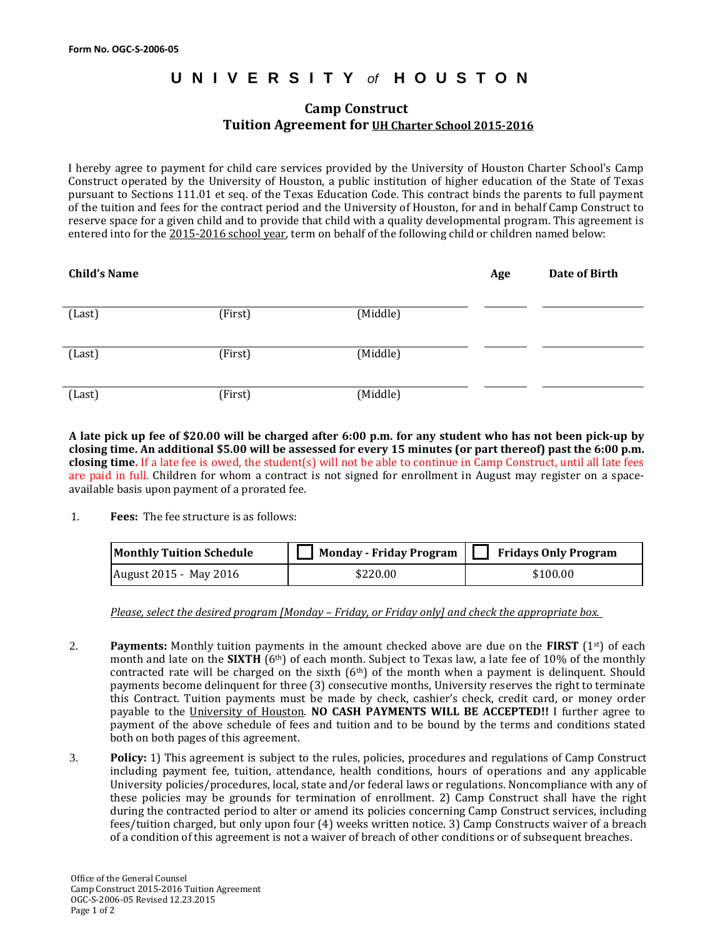## **UNIVERSITY** *of* **HOUSTON**

## **Camp Construct Tuition Agreement for UH Charter School 2015-2016**

I hereby agree to payment for child care services provided by the University of Houston Charter School's Camp Construct operated by the University of Houston, a public institution of higher education of the State of Texas pursuant to Sections 111.01 et seq. of the Texas Education Code. This contract binds the parents to full payment of the tuition and fees for the contract period and the University of Houston, for and in behalf Camp Construct to reserve space for a given child and to provide that child with a quality developmental program. This agreement is entered into for the 2015-2016 school year, term on behalf of the following child or children named below:

| <b>Child's Name</b> |         |          | Age | Date of Birth |
|---------------------|---------|----------|-----|---------------|
| (Last)              | (First) | (Middle) |     |               |
| (Last)              | (First) | (Middle) |     |               |
| (Last)              | (First) | (Middle) |     |               |

**A late pick up fee of \$20.00 will be charged after 6:00 p.m. for any student who has not been pick-up by closing time. An additional \$5.00 will be assessed for every 15 minutes (or part thereof) past the 6:00 p.m. closing time.** If a late fee is owed, the student(s) will not be able to continue in Camp Construct, until all late fees are paid in full. Children for whom a contract is not signed for enrollment in August may register on a spaceavailable basis upon payment of a prorated fee.

1. **Fees:** The fee structure is as follows:

| <b>Monthly Tuition Schedule</b> |          | Monday - Friday Program $\Box$ Fridays Only Program |
|---------------------------------|----------|-----------------------------------------------------|
| August 2015 - May 2016          | \$220.00 | \$100.00                                            |

*Please, select the desired program [Monday – Friday, or Friday only] and check the appropriate box.* 

- 2. **Payments:** Monthly tuition payments in the amount checked above are due on the **FIRST** (1st) of each month and late on the **SIXTH** (6th) of each month. Subject to Texas law, a late fee of 10% of the monthly contracted rate will be charged on the sixth  $(6<sup>th</sup>)$  of the month when a payment is delinquent. Should payments become delinquent for three (3) consecutive months, University reserves the right to terminate this Contract. Tuition payments must be made by check, cashier's check, credit card, or money order payable to the University of Houston. **NO CASH PAYMENTS WILL BE ACCEPTED!!** I further agree to payment of the above schedule of fees and tuition and to be bound by the terms and conditions stated both on both pages of this agreement.
- 3. **Policy:** 1) This agreement is subject to the rules, policies, procedures and regulations of Camp Construct including payment fee, tuition, attendance, health conditions, hours of operations and any applicable University policies/procedures, local, state and/or federal laws or regulations. Noncompliance with any of these policies may be grounds for termination of enrollment. 2) Camp Construct shall have the right during the contracted period to alter or amend its policies concerning Camp Construct services, including fees/tuition charged, but only upon four (4) weeks written notice. 3) Camp Constructs waiver of a breach of a condition of this agreement is not a waiver of breach of other conditions or of subsequent breaches.